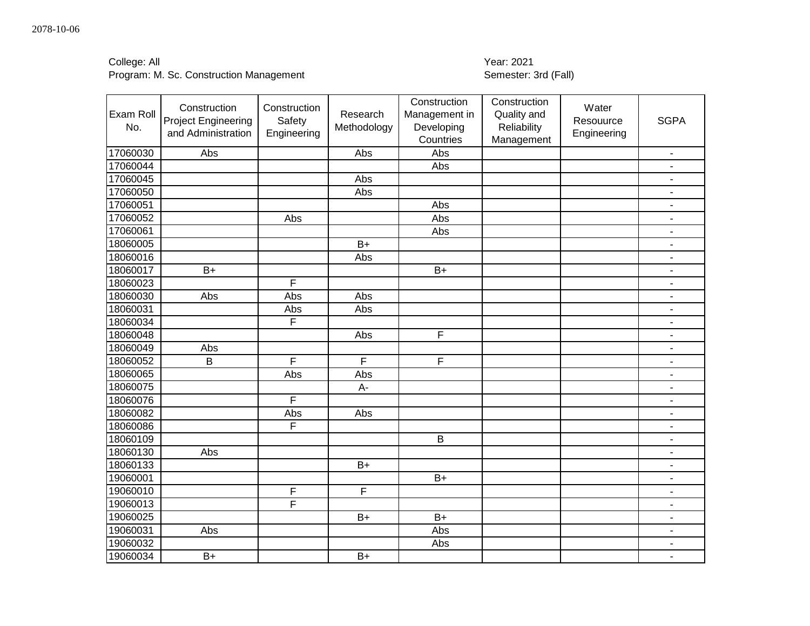| College: All |  |
|--------------|--|
|--------------|--|

# Year: 2021<br>Semester: 3rd (Fall)

| Exam Roll<br>No. | Construction<br><b>Project Engineering</b><br>and Administration | Construction<br>Safety<br>Engineering | Research<br>Methodology | Construction<br>Management in<br>Developing<br>Countries | Construction<br>Quality and<br>Reliability<br>Management | Water<br>Resouurce<br>Engineering | <b>SGPA</b>                  |
|------------------|------------------------------------------------------------------|---------------------------------------|-------------------------|----------------------------------------------------------|----------------------------------------------------------|-----------------------------------|------------------------------|
| 17060030         | Abs                                                              |                                       | Abs                     | Abs                                                      |                                                          |                                   | $\overline{\phantom{a}}$     |
| 17060044         |                                                                  |                                       |                         | Abs                                                      |                                                          |                                   | $\qquad \qquad \blacksquare$ |
| 17060045         |                                                                  |                                       | Abs                     |                                                          |                                                          |                                   | $\overline{\phantom{a}}$     |
| 17060050         |                                                                  |                                       | Abs                     |                                                          |                                                          |                                   | $\blacksquare$               |
| 17060051         |                                                                  |                                       |                         | Abs                                                      |                                                          |                                   | $\blacksquare$               |
| 17060052         |                                                                  | Abs                                   |                         | Abs                                                      |                                                          |                                   | $\overline{\phantom{a}}$     |
| 17060061         |                                                                  |                                       |                         | Abs                                                      |                                                          |                                   | $\blacksquare$               |
| 18060005         |                                                                  |                                       | $B+$                    |                                                          |                                                          |                                   | $\blacksquare$               |
| 18060016         |                                                                  |                                       | Abs                     |                                                          |                                                          |                                   | $\blacksquare$               |
| 18060017         | $B+$                                                             |                                       |                         | $B+$                                                     |                                                          |                                   | ÷,                           |
| 18060023         |                                                                  | F                                     |                         |                                                          |                                                          |                                   | $\blacksquare$               |
| 18060030         | Abs                                                              | Abs                                   | Abs                     |                                                          |                                                          |                                   | $\blacksquare$               |
| 18060031         |                                                                  | Abs                                   | Abs                     |                                                          |                                                          |                                   | $\blacksquare$               |
| 18060034         |                                                                  | $\overline{\mathsf{F}}$               |                         |                                                          |                                                          |                                   | $\qquad \qquad \blacksquare$ |
| 18060048         |                                                                  |                                       | Abs                     | F                                                        |                                                          |                                   | $\qquad \qquad \blacksquare$ |
| 18060049         | Abs                                                              |                                       |                         |                                                          |                                                          |                                   | $\overline{\phantom{a}}$     |
| 18060052         | B                                                                | F                                     | F                       | F                                                        |                                                          |                                   | ÷,                           |
| 18060065         |                                                                  | Abs                                   | Abs                     |                                                          |                                                          |                                   | $\blacksquare$               |
| 18060075         |                                                                  |                                       | A-                      |                                                          |                                                          |                                   | ÷,                           |
| 18060076         |                                                                  | F                                     |                         |                                                          |                                                          |                                   | $\blacksquare$               |
| 18060082         |                                                                  | Abs                                   | Abs                     |                                                          |                                                          |                                   | $\blacksquare$               |
| 18060086         |                                                                  | F                                     |                         |                                                          |                                                          |                                   | $\blacksquare$               |
| 18060109         |                                                                  |                                       |                         | B                                                        |                                                          |                                   | $\blacksquare$               |
| 18060130         | Abs                                                              |                                       |                         |                                                          |                                                          |                                   | $\blacksquare$               |
| 18060133         |                                                                  |                                       | $B+$                    |                                                          |                                                          |                                   | $\blacksquare$               |
| 19060001         |                                                                  |                                       |                         | $B+$                                                     |                                                          |                                   | $\blacksquare$               |
| 19060010         |                                                                  | F                                     | F                       |                                                          |                                                          |                                   | $\overline{\phantom{a}}$     |
| 19060013         |                                                                  | F                                     |                         |                                                          |                                                          |                                   | $\qquad \qquad \blacksquare$ |
| 19060025         |                                                                  |                                       | $B+$                    | $B+$                                                     |                                                          |                                   | $\blacksquare$               |
| 19060031         | Abs                                                              |                                       |                         | Abs                                                      |                                                          |                                   | $\blacksquare$               |
| 19060032         |                                                                  |                                       |                         | Abs                                                      |                                                          |                                   | $\blacksquare$               |
| 19060034         | $B+$                                                             |                                       | $B+$                    |                                                          |                                                          |                                   | $\blacksquare$               |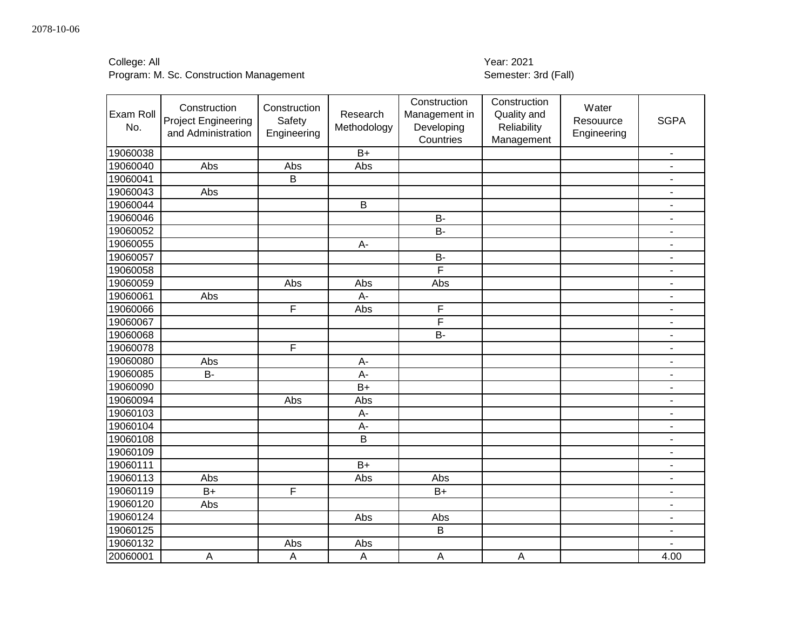| College: All |  |
|--------------|--|
|--------------|--|

# Year: 2021<br>Semester: 3rd (Fall)

| Exam Roll<br>No. | Construction<br><b>Project Engineering</b><br>and Administration | Construction<br>Safety<br>Engineering | Research<br>Methodology | Construction<br>Management in<br>Developing<br>Countries | Construction<br>Quality and<br>Reliability<br>Management | Water<br>Resouurce<br>Engineering | <b>SGPA</b>                  |
|------------------|------------------------------------------------------------------|---------------------------------------|-------------------------|----------------------------------------------------------|----------------------------------------------------------|-----------------------------------|------------------------------|
| 19060038         |                                                                  |                                       | $B+$                    |                                                          |                                                          |                                   | $\overline{\phantom{a}}$     |
| 19060040         | Abs                                                              | Abs                                   | Abs                     |                                                          |                                                          |                                   | $\blacksquare$               |
| 19060041         |                                                                  | B                                     |                         |                                                          |                                                          |                                   | $\overline{\phantom{a}}$     |
| 19060043         | Abs                                                              |                                       |                         |                                                          |                                                          |                                   | $\blacksquare$               |
| 19060044         |                                                                  |                                       | B                       |                                                          |                                                          |                                   | $\blacksquare$               |
| 19060046         |                                                                  |                                       |                         | <b>B-</b>                                                |                                                          |                                   | $\blacksquare$               |
| 19060052         |                                                                  |                                       |                         | $B -$                                                    |                                                          |                                   | $\blacksquare$               |
| 19060055         |                                                                  |                                       | A-                      |                                                          |                                                          |                                   | $\blacksquare$               |
| 19060057         |                                                                  |                                       |                         | <b>B-</b>                                                |                                                          |                                   | $\blacksquare$               |
| 19060058         |                                                                  |                                       |                         | F                                                        |                                                          |                                   | ÷,                           |
| 19060059         |                                                                  | Abs                                   | Abs                     | Abs                                                      |                                                          |                                   | $\blacksquare$               |
| 19060061         | Abs                                                              |                                       | A-                      |                                                          |                                                          |                                   | $\blacksquare$               |
| 19060066         |                                                                  | $\overline{F}$                        | Abs                     | F                                                        |                                                          |                                   | $\overline{\phantom{a}}$     |
| 19060067         |                                                                  |                                       |                         | F                                                        |                                                          |                                   | $\overline{\phantom{a}}$     |
| 19060068         |                                                                  |                                       |                         | <b>B-</b>                                                |                                                          |                                   | $\qquad \qquad \blacksquare$ |
| 19060078         |                                                                  | F                                     |                         |                                                          |                                                          |                                   | $\blacksquare$               |
| 19060080         | Abs                                                              |                                       | A-                      |                                                          |                                                          |                                   | ÷,                           |
| 19060085         | <b>B-</b>                                                        |                                       | A-                      |                                                          |                                                          |                                   | $\overline{\phantom{a}}$     |
| 19060090         |                                                                  |                                       | $\overline{B+}$         |                                                          |                                                          |                                   | $\blacksquare$               |
| 19060094         |                                                                  | Abs                                   | Abs                     |                                                          |                                                          |                                   | $\blacksquare$               |
| 19060103         |                                                                  |                                       | A-                      |                                                          |                                                          |                                   | $\blacksquare$               |
| 19060104         |                                                                  |                                       | A-                      |                                                          |                                                          |                                   | $\blacksquare$               |
| 19060108         |                                                                  |                                       | B                       |                                                          |                                                          |                                   | $\blacksquare$               |
| 19060109         |                                                                  |                                       |                         |                                                          |                                                          |                                   | $\overline{\phantom{a}}$     |
| 19060111         |                                                                  |                                       | $B+$                    |                                                          |                                                          |                                   | $\blacksquare$               |
| 19060113         | Abs                                                              |                                       | Abs                     | Abs                                                      |                                                          |                                   | $\qquad \qquad \blacksquare$ |
| 19060119         | $B+$                                                             | F                                     |                         | $B+$                                                     |                                                          |                                   | $\overline{\phantom{a}}$     |
| 19060120         | Abs                                                              |                                       |                         |                                                          |                                                          |                                   | $\blacksquare$               |
| 19060124         |                                                                  |                                       | Abs                     | Abs                                                      |                                                          |                                   | $\blacksquare$               |
| 19060125         |                                                                  |                                       |                         | $\overline{B}$                                           |                                                          |                                   | $\overline{\phantom{a}}$     |
| 19060132         |                                                                  | Abs                                   | Abs                     |                                                          |                                                          |                                   |                              |
| 20060001         | $\overline{A}$                                                   | $\boldsymbol{\mathsf{A}}$             | $\overline{A}$          | $\boldsymbol{\mathsf{A}}$                                | A                                                        |                                   | 4.00                         |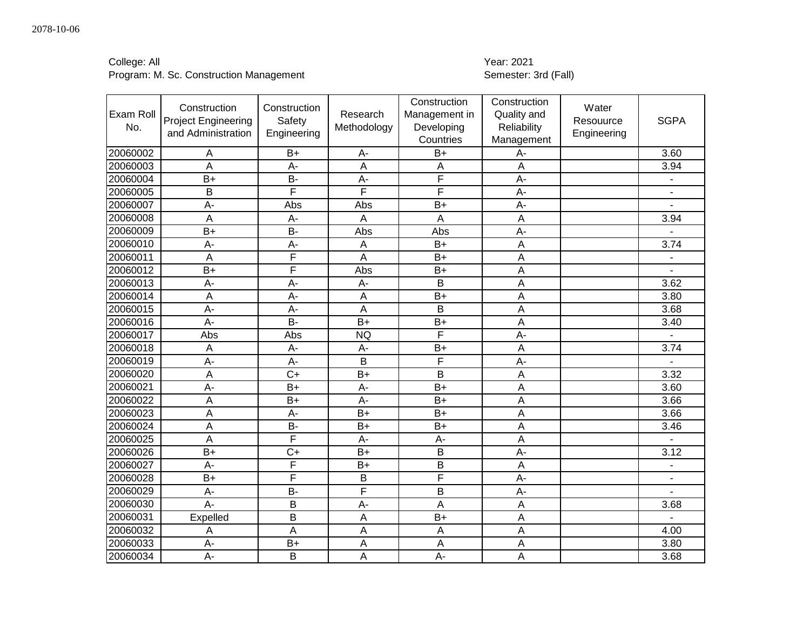| College: All |  |
|--------------|--|
|--------------|--|

# Year: 2021<br>Semester: 3rd (Fall)

| Exam Roll<br>No. | Construction<br><b>Project Engineering</b><br>and Administration | Construction<br>Safety<br>Engineering | Research<br>Methodology | Construction<br>Management in<br>Developing<br>Countries | Construction<br>Quality and<br>Reliability<br>Management | Water<br>Resouurce<br>Engineering | <b>SGPA</b>    |
|------------------|------------------------------------------------------------------|---------------------------------------|-------------------------|----------------------------------------------------------|----------------------------------------------------------|-----------------------------------|----------------|
| 20060002         | A                                                                | $B+$                                  | A-                      | $B+$                                                     | A-                                                       |                                   | 3.60           |
| 20060003         | A                                                                | A-                                    | $\overline{A}$          | A                                                        | $\overline{A}$                                           |                                   | 3.94           |
| 20060004         | $B+$                                                             | <b>B-</b>                             | A-                      | $\overline{\mathsf{F}}$                                  | $A -$                                                    |                                   | $\overline{a}$ |
| 20060005         | B                                                                | F                                     | F                       | F                                                        | $A -$                                                    |                                   | $\overline{a}$ |
| 20060007         | A-                                                               | Abs                                   | Abs                     | $B+$                                                     | A-                                                       |                                   |                |
| 20060008         | $\overline{A}$                                                   | A-                                    | Α                       | A                                                        | $\overline{A}$                                           |                                   | 3.94           |
| 20060009         | $B+$                                                             | <b>B-</b>                             | Abs                     | Abs                                                      | $A -$                                                    |                                   |                |
| 20060010         | A-                                                               | A-                                    | A                       | $B+$                                                     | A                                                        |                                   | 3.74           |
| 20060011         | A                                                                | F                                     | Α                       | $B+$                                                     | A                                                        |                                   |                |
| 20060012         | $\overline{B+}$                                                  | F                                     | Abs                     | $\overline{B+}$                                          | $\overline{A}$                                           |                                   |                |
| 20060013         | A-                                                               | A-                                    | A-                      | B                                                        | A                                                        |                                   | 3.62           |
| 20060014         | $\overline{A}$                                                   | A-                                    | A                       | $B+$                                                     | A                                                        |                                   | 3.80           |
| 20060015         | $\overline{A}$                                                   | A-                                    | A                       | B                                                        | $\overline{A}$                                           |                                   | 3.68           |
| 20060016         | $A -$                                                            | $B -$                                 | $B+$                    | $B+$                                                     | $\overline{A}$                                           |                                   | 3.40           |
| 20060017         | Abs                                                              | Abs                                   | <b>NQ</b>               | F                                                        | А-                                                       |                                   | $\overline{a}$ |
| 20060018         | $\overline{A}$                                                   | A-                                    | A-                      | $B+$                                                     | A                                                        |                                   | 3.74           |
| 20060019         | A-                                                               | A-                                    | B                       | F                                                        | $A -$                                                    |                                   | $\overline{a}$ |
| 20060020         | $\overline{A}$                                                   | $C+$                                  | $B+$                    | B                                                        | A                                                        |                                   | 3.32           |
| 20060021         | A-                                                               | $B+$                                  | $A -$                   | $B+$                                                     | $\overline{A}$                                           |                                   | 3.60           |
| 20060022         | A                                                                | $B+$                                  | A-                      | $B+$                                                     | $\overline{A}$                                           |                                   | 3.66           |
| 20060023         | A                                                                | A-                                    | $B+$                    | $B+$                                                     | A                                                        |                                   | 3.66           |
| 20060024         | A                                                                | $\overline{B}$                        | $B+$                    | $\overline{B+}$                                          | A                                                        |                                   | 3.46           |
| 20060025         | A                                                                | F                                     | A-                      | $A -$                                                    | A                                                        |                                   |                |
| 20060026         | $B+$                                                             | $\overline{C}$                        | $B+$                    | B                                                        | $A -$                                                    |                                   | 3.12           |
| 20060027         | A-                                                               | F                                     | $B+$                    | B                                                        | A                                                        |                                   | $\blacksquare$ |
| 20060028         | $B+$                                                             | $\overline{F}$                        | B                       | $\overline{\mathsf{F}}$                                  | A-                                                       |                                   | $\blacksquare$ |
| 20060029         | A-                                                               | <b>B-</b>                             | F                       | B                                                        | $A -$                                                    |                                   |                |
| 20060030         | A-                                                               | B                                     | A-                      | A                                                        | A                                                        |                                   | 3.68           |
| 20060031         | Expelled                                                         | B                                     | $\overline{A}$          | $B+$                                                     | $\overline{A}$                                           |                                   |                |
| 20060032         | A                                                                | A                                     | A                       | A                                                        | $\overline{A}$                                           |                                   | 4.00           |
| 20060033         | A-                                                               | $B+$                                  | A                       | A                                                        | A                                                        |                                   | 3.80           |
| 20060034         | A-                                                               | B                                     | A                       | $A -$                                                    | A                                                        |                                   | 3.68           |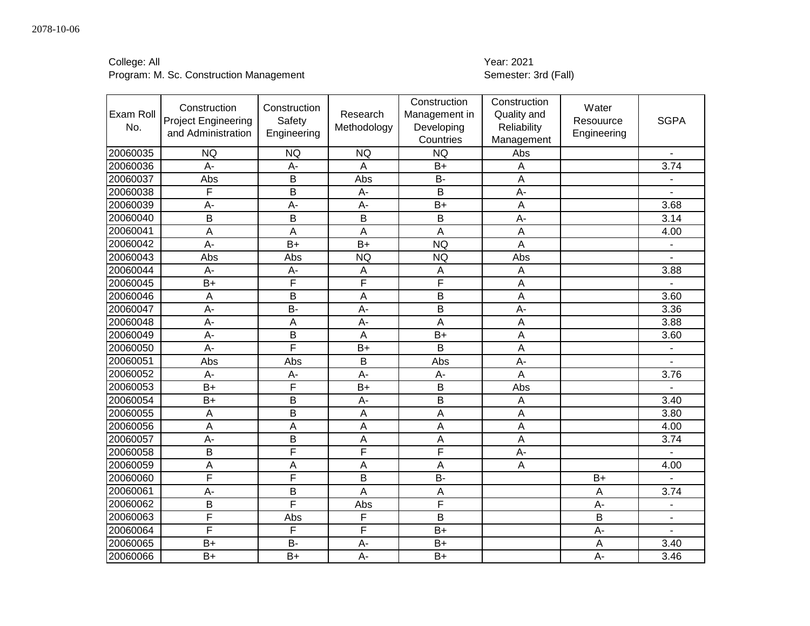| College: All |  |
|--------------|--|
|              |  |

# College: All<br>
Program: M. Sc. Construction Management<br>
Program: M. Sc. Construction Management<br>
2021

| Exam Roll<br>No. | Construction<br><b>Project Engineering</b><br>and Administration | Construction<br>Safety<br>Engineering | Research<br>Methodology | Construction<br>Management in<br>Developing<br>Countries | Construction<br>Quality and<br>Reliability<br>Management | Water<br>Resouurce<br>Engineering | <b>SGPA</b>              |
|------------------|------------------------------------------------------------------|---------------------------------------|-------------------------|----------------------------------------------------------|----------------------------------------------------------|-----------------------------------|--------------------------|
| 20060035         | <b>NQ</b>                                                        | <b>NQ</b>                             | <b>NQ</b>               | <b>NQ</b>                                                | Abs                                                      |                                   | $\blacksquare$           |
| 20060036         | A-                                                               | A-                                    | A                       | $B+$                                                     | A                                                        |                                   | 3.74                     |
| 20060037         | Abs                                                              | B                                     | Abs                     | <b>B-</b>                                                | $\overline{A}$                                           |                                   | $\blacksquare$           |
| 20060038         | F                                                                | B                                     | $A -$                   | B                                                        | A-                                                       |                                   | $\overline{a}$           |
| 20060039         | A-                                                               | $A -$                                 | A-                      | $B+$                                                     | $\overline{A}$                                           |                                   | 3.68                     |
| 20060040         | B                                                                | B                                     | B                       | B                                                        | A-                                                       |                                   | 3.14                     |
| 20060041         | A                                                                | A                                     | A                       | A                                                        | $\overline{A}$                                           |                                   | 4.00                     |
| 20060042         | $A -$                                                            | $B+$                                  | $B+$                    | <b>NQ</b>                                                | A                                                        |                                   | $\blacksquare$           |
| 20060043         | Abs                                                              | Abs                                   | <b>NQ</b>               | <b>NQ</b>                                                | Abs                                                      |                                   |                          |
| 20060044         | A-                                                               | $A -$                                 | A                       | A                                                        | A                                                        |                                   | 3.88                     |
| 20060045         | $B+$                                                             | F                                     | F                       | F                                                        | A                                                        |                                   |                          |
| 20060046         | A                                                                | B                                     | A                       | B                                                        | A                                                        |                                   | 3.60                     |
| 20060047         | $\overline{A}$                                                   | $B -$                                 | $\overline{A}$          | B                                                        | $\overline{A}$ -                                         |                                   | 3.36                     |
| 20060048         | A-                                                               | A                                     | A-                      | A                                                        | A                                                        |                                   | 3.88                     |
| 20060049         | A-                                                               | B                                     | A                       | $B+$                                                     | $\overline{A}$                                           |                                   | 3.60                     |
| 20060050         | $A -$                                                            | F                                     | $B+$                    | B                                                        | A                                                        |                                   | $\overline{\phantom{a}}$ |
| 20060051         | Abs                                                              | Abs                                   | B                       | Abs                                                      | A-                                                       |                                   | $\blacksquare$           |
| 20060052         | A-                                                               | A-                                    | A-                      | $A -$                                                    | A                                                        |                                   | 3.76                     |
| 20060053         | $B+$                                                             | F                                     | $B+$                    | B                                                        | Abs                                                      |                                   |                          |
| 20060054         | $B+$                                                             | B                                     | A-                      | B                                                        | $\overline{A}$                                           |                                   | 3.40                     |
| 20060055         | A                                                                | B                                     | A                       | A                                                        | A                                                        |                                   | 3.80                     |
| 20060056         | A                                                                | A                                     | A                       | A                                                        | A                                                        |                                   | 4.00                     |
| 20060057         | A-                                                               | B                                     | A                       | A                                                        | A                                                        |                                   | 3.74                     |
| 20060058         | B                                                                | F                                     | F                       | F                                                        | A-                                                       |                                   |                          |
| 20060059         | A                                                                | A                                     | A                       | A                                                        | Α                                                        |                                   | 4.00                     |
| 20060060         | F                                                                | F                                     | B                       | $\overline{B}$                                           |                                                          | $B+$                              |                          |
| 20060061         | A-                                                               | B                                     | A                       | A                                                        |                                                          | $\overline{A}$                    | 3.74                     |
| 20060062         | B                                                                | F                                     | Abs                     | $\overline{F}$                                           |                                                          | A-                                | $\blacksquare$           |
| 20060063         | F                                                                | Abs                                   | F                       | B                                                        |                                                          | $\overline{B}$                    | $\overline{\phantom{a}}$ |
| 20060064         | F                                                                | F                                     | F                       | $B+$                                                     |                                                          | A-                                | $\blacksquare$           |
| 20060065         | $B+$                                                             | <b>B-</b>                             | A-                      | $B+$                                                     |                                                          | A                                 | 3.40                     |
| 20060066         | $B+$                                                             | $B+$                                  | A-                      | $B+$                                                     |                                                          | $A -$                             | 3.46                     |